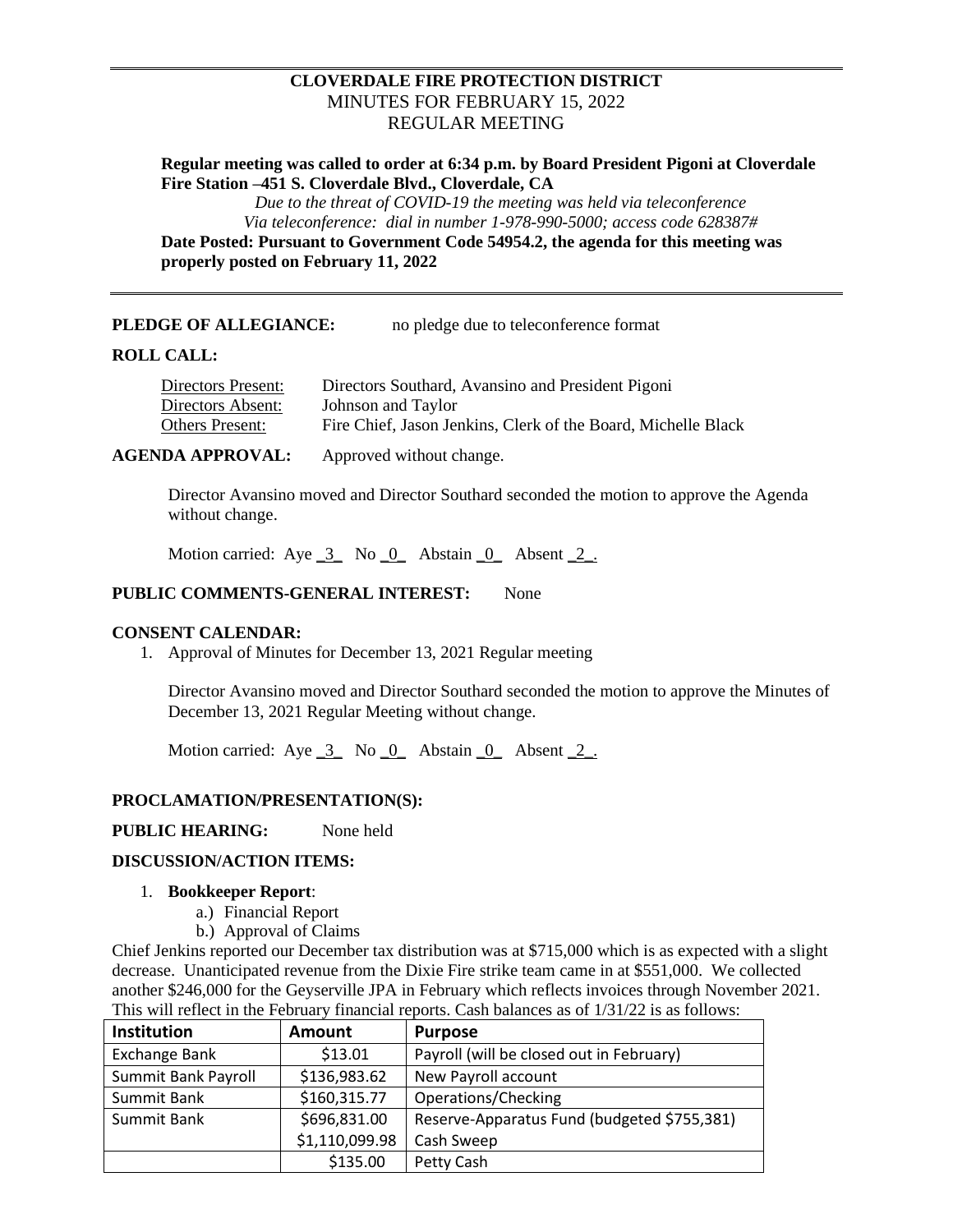# **CLOVERDALE FIRE PROTECTION DISTRICT** MINUTES FOR FEBRUARY 15, 2022 REGULAR MEETING

**Regular meeting was called to order at 6:34 p.m. by Board President Pigoni at Cloverdale Fire Station –451 S. Cloverdale Blvd., Cloverdale, CA**

> *Due to the threat of COVID-19 the meeting was held via teleconference Via teleconference: dial in number 1-978-990-5000; access code 628387#*

**Date Posted: Pursuant to Government Code 54954.2, the agenda for this meeting was properly posted on February 11, 2022**

**PLEDGE OF ALLEGIANCE:** no pledge due to teleconference format

### **ROLL CALL:**

| Directors Present: | Directors Southard, Avansino and President Pigoni             |
|--------------------|---------------------------------------------------------------|
| Directors Absent:  | Johnson and Taylor                                            |
| Others Present:    | Fire Chief, Jason Jenkins, Clerk of the Board, Michelle Black |
|                    |                                                               |

**AGENDA APPROVAL:** Approved without change.

Director Avansino moved and Director Southard seconded the motion to approve the Agenda without change.

Motion carried: Aye  $\overline{3}$  No  $\overline{0}$  Abstain  $\overline{0}$  Absent  $\overline{2}$ .

# **PUBLIC COMMENTS-GENERAL INTEREST:** None

## **CONSENT CALENDAR:**

1. Approval of Minutes for December 13, 2021 Regular meeting

Director Avansino moved and Director Southard seconded the motion to approve the Minutes of December 13, 2021 Regular Meeting without change.

Motion carried: Aye  $\overline{3}$  No  $\overline{0}$  Abstain  $\overline{0}$  Absent  $\overline{2}$ .

# **PROCLAMATION/PRESENTATION(S):**

**PUBLIC HEARING:** None held

# **DISCUSSION/ACTION ITEMS:**

#### 1. **Bookkeeper Report**:

- a.) Financial Report
- b.) Approval of Claims

Chief Jenkins reported our December tax distribution was at \$715,000 which is as expected with a slight decrease. Unanticipated revenue from the Dixie Fire strike team came in at \$551,000. We collected another \$246,000 for the Geyserville JPA in February which reflects invoices through November 2021. This will reflect in the February financial reports. Cash balances as of 1/31/22 is as follows:

| Institution         | <b>Amount</b>  | <b>Purpose</b>                              |
|---------------------|----------------|---------------------------------------------|
| Exchange Bank       | \$13.01        | Payroll (will be closed out in February)    |
| Summit Bank Payroll | \$136,983.62   | New Payroll account                         |
| Summit Bank         | \$160,315.77   | Operations/Checking                         |
| Summit Bank         | \$696,831.00   | Reserve-Apparatus Fund (budgeted \$755,381) |
|                     | \$1,110,099.98 | Cash Sweep                                  |
|                     | \$135.00       | Petty Cash                                  |